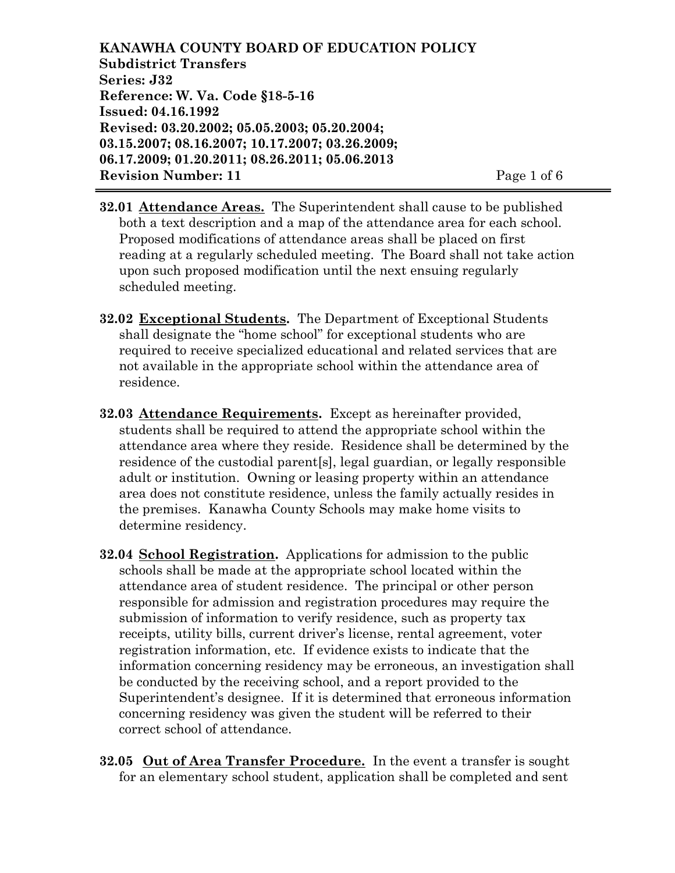**KANAWHA COUNTY BOARD OF EDUCATION POLICY Subdistrict Transfers Series: J32 Reference: W. Va. Code §18-5-16 Issued: 04.16.1992 Revised: 03.20.2002; 05.05.2003; 05.20.2004; 03.15.2007; 08.16.2007; 10.17.2007; 03.26.2009; 06.17.2009; 01.20.2011; 08.26.2011; 05.06.2013 Revision Number: 11** Page 1 of 6

- **32.01 Attendance Areas.** The Superintendent shall cause to be published both a text description and a map of the attendance area for each school. Proposed modifications of attendance areas shall be placed on first reading at a regularly scheduled meeting. The Board shall not take action upon such proposed modification until the next ensuing regularly scheduled meeting.
- **32.02 Exceptional Students.** The Department of Exceptional Students shall designate the "home school" for exceptional students who are required to receive specialized educational and related services that are not available in the appropriate school within the attendance area of residence.
- **32.03 Attendance Requirements.** Except as hereinafter provided, students shall be required to attend the appropriate school within the attendance area where they reside. Residence shall be determined by the residence of the custodial parent[s], legal guardian, or legally responsible adult or institution. Owning or leasing property within an attendance area does not constitute residence, unless the family actually resides in the premises. Kanawha County Schools may make home visits to determine residency.
- **32.04 School Registration.** Applications for admission to the public schools shall be made at the appropriate school located within the attendance area of student residence. The principal or other person responsible for admission and registration procedures may require the submission of information to verify residence, such as property tax receipts, utility bills, current driver's license, rental agreement, voter registration information, etc. If evidence exists to indicate that the information concerning residency may be erroneous, an investigation shall be conducted by the receiving school, and a report provided to the Superintendent's designee. If it is determined that erroneous information concerning residency was given the student will be referred to their correct school of attendance.
- **32.05 Out of Area Transfer Procedure.** In the event a transfer is sought for an elementary school student, application shall be completed and sent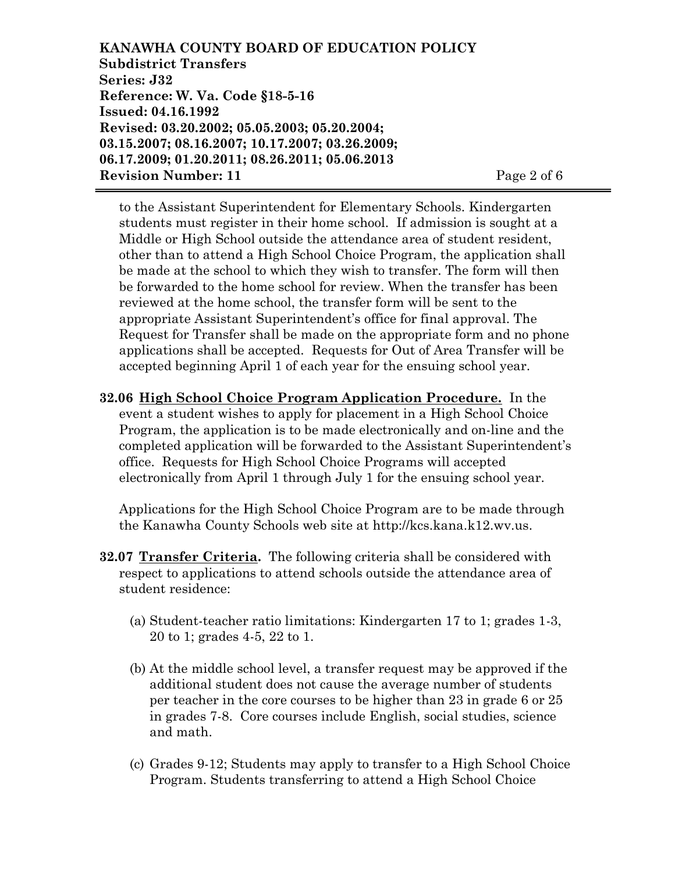**KANAWHA COUNTY BOARD OF EDUCATION POLICY Subdistrict Transfers Series: J32 Reference: W. Va. Code §18-5-16 Issued: 04.16.1992 Revised: 03.20.2002; 05.05.2003; 05.20.2004; 03.15.2007; 08.16.2007; 10.17.2007; 03.26.2009; 06.17.2009; 01.20.2011; 08.26.2011; 05.06.2013 Revision Number: 11** Page 2 of 6

to the Assistant Superintendent for Elementary Schools. Kindergarten students must register in their home school. If admission is sought at a Middle or High School outside the attendance area of student resident, other than to attend a High School Choice Program, the application shall be made at the school to which they wish to transfer. The form will then be forwarded to the home school for review. When the transfer has been reviewed at the home school, the transfer form will be sent to the appropriate Assistant Superintendent's office for final approval. The Request for Transfer shall be made on the appropriate form and no phone applications shall be accepted. Requests for Out of Area Transfer will be accepted beginning April 1 of each year for the ensuing school year.

**32.06 High School Choice Program Application Procedure.** In the event a student wishes to apply for placement in a High School Choice Program, the application is to be made electronically and on-line and the completed application will be forwarded to the Assistant Superintendent's office. Requests for High School Choice Programs will accepted electronically from April 1 through July 1 for the ensuing school year.

Applications for the High School Choice Program are to be made through the Kanawha County Schools web site at http://kcs.kana.k12.wv.us.

- **32.07 Transfer Criteria.** The following criteria shall be considered with respect to applications to attend schools outside the attendance area of student residence:
	- (a) Student-teacher ratio limitations: Kindergarten 17 to 1; grades 1-3, 20 to 1; grades 4-5, 22 to 1.
	- (b) At the middle school level, a transfer request may be approved if the additional student does not cause the average number of students per teacher in the core courses to be higher than 23 in grade 6 or 25 in grades 7-8. Core courses include English, social studies, science and math.
	- (c) Grades 9-12; Students may apply to transfer to a High School Choice Program. Students transferring to attend a High School Choice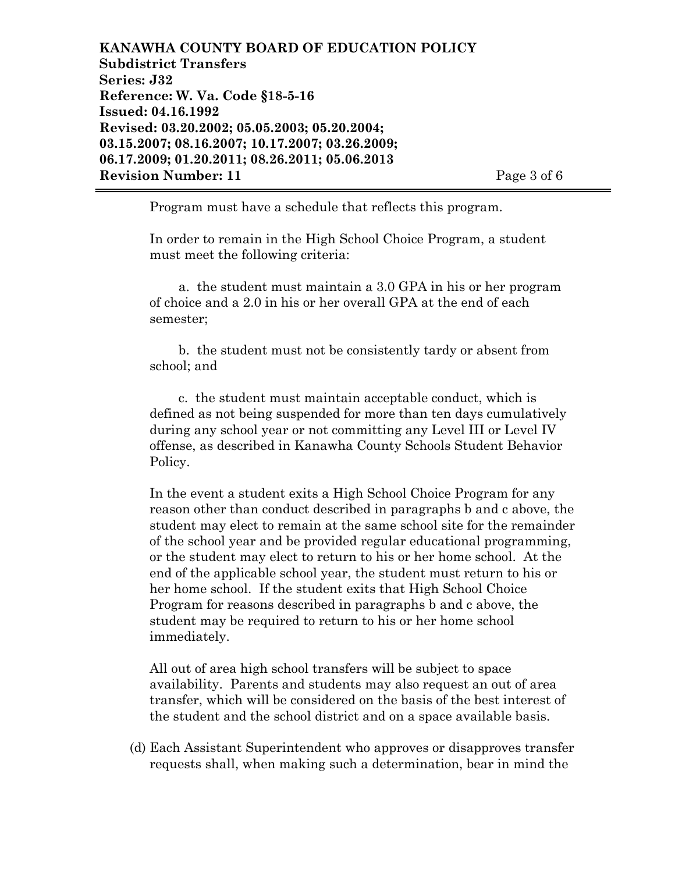**KANAWHA COUNTY BOARD OF EDUCATION POLICY Subdistrict Transfers Series: J32 Reference: W. Va. Code §18-5-16 Issued: 04.16.1992 Revised: 03.20.2002; 05.05.2003; 05.20.2004; 03.15.2007; 08.16.2007; 10.17.2007; 03.26.2009; 06.17.2009; 01.20.2011; 08.26.2011; 05.06.2013 Revision Number: 11** Page 3 of 6

Program must have a schedule that reflects this program.

In order to remain in the High School Choice Program, a student must meet the following criteria:

a. the student must maintain a 3.0 GPA in his or her program of choice and a 2.0 in his or her overall GPA at the end of each semester;

b. the student must not be consistently tardy or absent from school; and

c. the student must maintain acceptable conduct, which is defined as not being suspended for more than ten days cumulatively during any school year or not committing any Level III or Level IV offense, as described in Kanawha County Schools Student Behavior Policy.

In the event a student exits a High School Choice Program for any reason other than conduct described in paragraphs b and c above, the student may elect to remain at the same school site for the remainder of the school year and be provided regular educational programming, or the student may elect to return to his or her home school. At the end of the applicable school year, the student must return to his or her home school. If the student exits that High School Choice Program for reasons described in paragraphs b and c above, the student may be required to return to his or her home school immediately.

All out of area high school transfers will be subject to space availability. Parents and students may also request an out of area transfer, which will be considered on the basis of the best interest of the student and the school district and on a space available basis.

(d) Each Assistant Superintendent who approves or disapproves transfer requests shall, when making such a determination, bear in mind the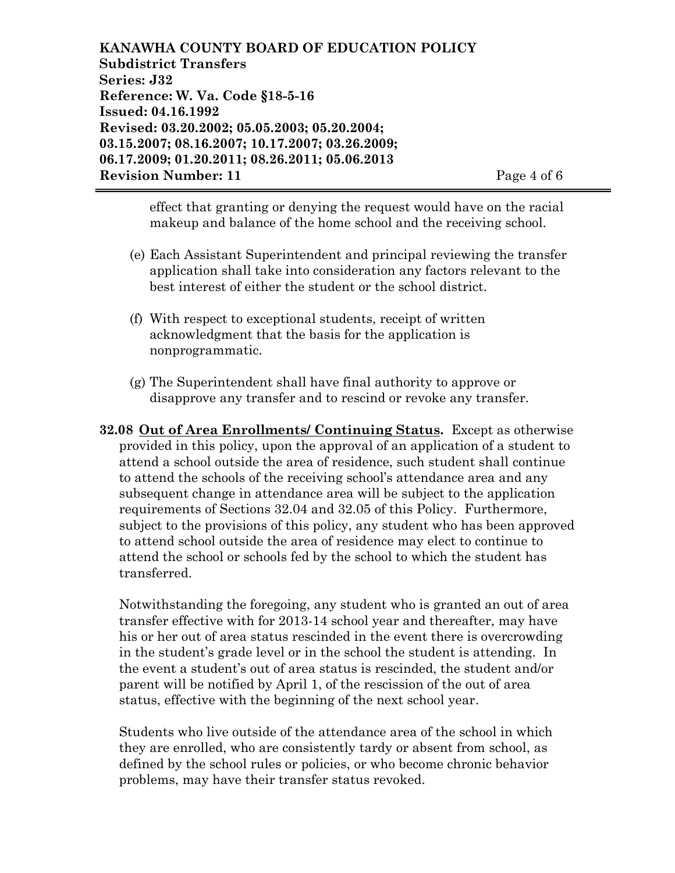**KANAWHA COUNTY BOARD OF EDUCATION POLICY Subdistrict Transfers Series: J32 Reference: W. Va. Code §18-5-16 Issued: 04.16.1992 Revised: 03.20.2002; 05.05.2003; 05.20.2004; 03.15.2007; 08.16.2007; 10.17.2007; 03.26.2009; 06.17.2009; 01.20.2011; 08.26.2011; 05.06.2013 Revision Number: 11** Page 4 of 6

effect that granting or denying the request would have on the racial makeup and balance of the home school and the receiving school.

- (e) Each Assistant Superintendent and principal reviewing the transfer application shall take into consideration any factors relevant to the best interest of either the student or the school district.
- (f) With respect to exceptional students, receipt of written acknowledgment that the basis for the application is nonprogrammatic.
- (g) The Superintendent shall have final authority to approve or disapprove any transfer and to rescind or revoke any transfer.

**32.08 Out of Area Enrollments/ Continuing Status.** Except as otherwise provided in this policy, upon the approval of an application of a student to attend a school outside the area of residence, such student shall continue to attend the schools of the receiving school's attendance area and any subsequent change in attendance area will be subject to the application requirements of Sections 32.04 and 32.05 of this Policy. Furthermore, subject to the provisions of this policy, any student who has been approved to attend school outside the area of residence may elect to continue to attend the school or schools fed by the school to which the student has transferred.

Notwithstanding the foregoing, any student who is granted an out of area transfer effective with for 2013-14 school year and thereafter, may have his or her out of area status rescinded in the event there is overcrowding in the student's grade level or in the school the student is attending. In the event a student's out of area status is rescinded, the student and/or parent will be notified by April 1, of the rescission of the out of area status, effective with the beginning of the next school year.

Students who live outside of the attendance area of the school in which they are enrolled, who are consistently tardy or absent from school, as defined by the school rules or policies, or who become chronic behavior problems, may have their transfer status revoked.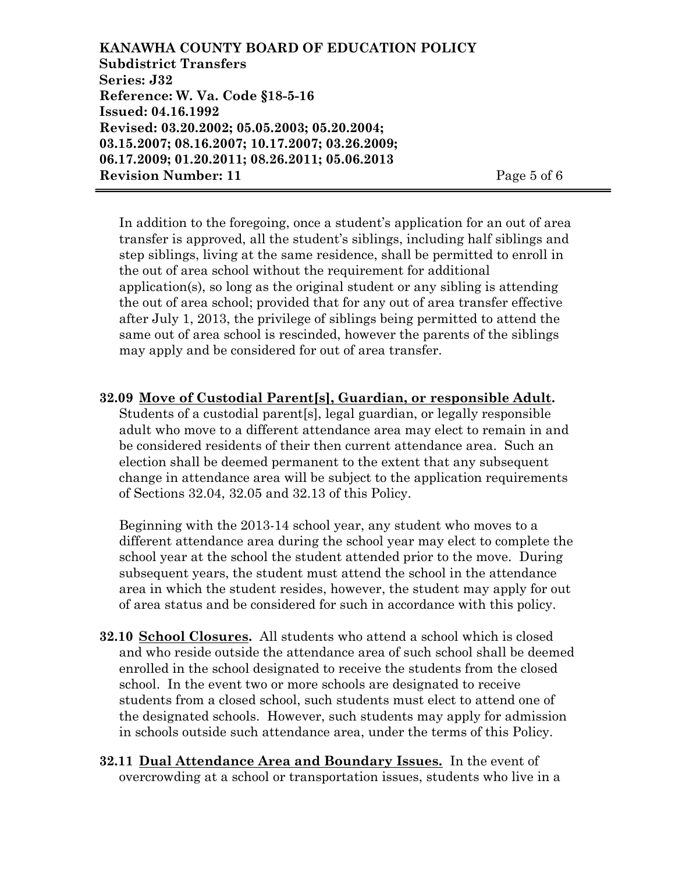**KANAWHA COUNTY BOARD OF EDUCATION POLICY Subdistrict Transfers Series: J32 Reference: W. Va. Code §18-5-16 Issued: 04.16.1992 Revised: 03.20.2002; 05.05.2003; 05.20.2004; 03.15.2007; 08.16.2007; 10.17.2007; 03.26.2009; 06.17.2009; 01.20.2011; 08.26.2011; 05.06.2013 Revision Number: 11** Page 5 of 6

In addition to the foregoing, once a student's application for an out of area transfer is approved, all the student's siblings, including half siblings and step siblings, living at the same residence, shall be permitted to enroll in the out of area school without the requirement for additional application(s), so long as the original student or any sibling is attending the out of area school; provided that for any out of area transfer effective after July 1, 2013, the privilege of siblings being permitted to attend the same out of area school is rescinded, however the parents of the siblings may apply and be considered for out of area transfer.

**32.09 Move of Custodial Parent[s], Guardian, or responsible Adult.** Students of a custodial parent[s], legal guardian, or legally responsible adult who move to a different attendance area may elect to remain in and be considered residents of their then current attendance area. Such an election shall be deemed permanent to the extent that any subsequent change in attendance area will be subject to the application requirements of Sections 32.04, 32.05 and 32.13 of this Policy.

Beginning with the 2013-14 school year, any student who moves to a different attendance area during the school year may elect to complete the school year at the school the student attended prior to the move. During subsequent years, the student must attend the school in the attendance area in which the student resides, however, the student may apply for out of area status and be considered for such in accordance with this policy.

- **32.10 School Closures.** All students who attend a school which is closed and who reside outside the attendance area of such school shall be deemed enrolled in the school designated to receive the students from the closed school. In the event two or more schools are designated to receive students from a closed school, such students must elect to attend one of the designated schools. However, such students may apply for admission in schools outside such attendance area, under the terms of this Policy.
- **32.11 Dual Attendance Area and Boundary Issues.** In the event of overcrowding at a school or transportation issues, students who live in a